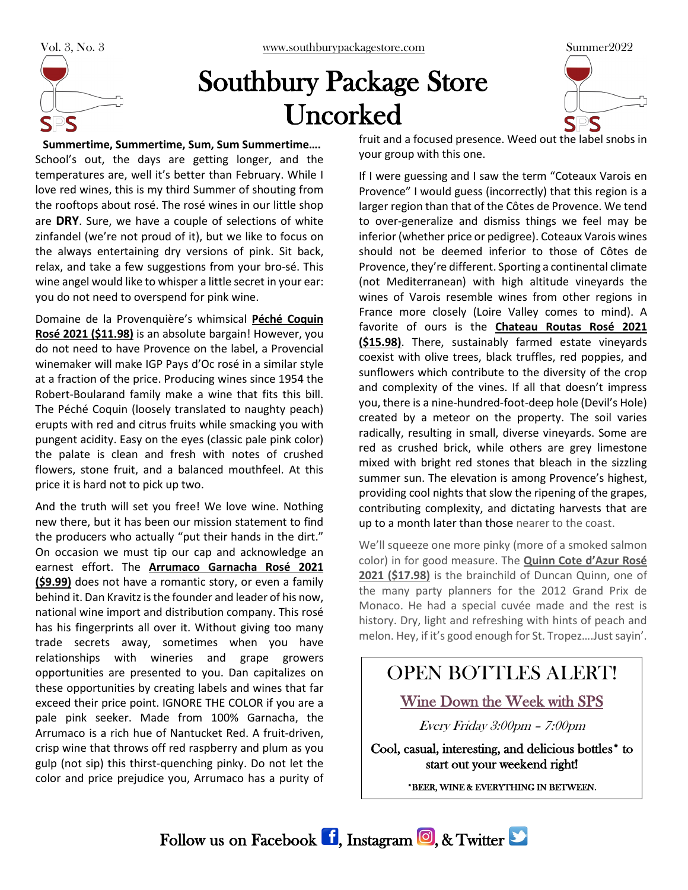**SPS** 

# Southbury Package Store Uncorked



**Summertime, Summertime, Sum, Sum Summertime….** School's out, the days are getting longer, and the temperatures are, well it's better than February. While I love red wines, this is my third Summer of shouting from the rooftops about rosé. The rosé wines in our little shop are **DRY**. Sure, we have a couple of selections of white zinfandel (we're not proud of it), but we like to focus on the always entertaining dry versions of pink. Sit back, relax, and take a few suggestions from your bro-sé. This wine angel would like to whisper a little secret in your ear: you do not need to overspend for pink wine.

Domaine de la Provenquière's whimsical **Péché Coquin Rosé 2021 (\$11.98)** is an absolute bargain! However, you do not need to have Provence on the label, a Provencial winemaker will make IGP Pays d'Oc rosé in a similar style at a fraction of the price. Producing wines since 1954 the Robert-Boularand family make a wine that fits this bill. The Péché Coquin (loosely translated to naughty peach) erupts with red and citrus fruits while smacking you with pungent acidity. Easy on the eyes (classic pale pink color) the palate is clean and fresh with notes of crushed flowers, stone fruit, and a balanced mouthfeel. At this price it is hard not to pick up two.

And the truth will set you free! We love wine. Nothing new there, but it has been our mission statement to find the producers who actually "put their hands in the dirt." On occasion we must tip our cap and acknowledge an earnest effort. The **Arrumaco Garnacha Rosé 2021 (\$9.99)** does not have a romantic story, or even a family behind it. Dan Kravitz is the founder and leader of his now, national wine import and distribution company. This rosé has his fingerprints all over it. Without giving too many trade secrets away, sometimes when you have relationships with wineries and grape growers opportunities are presented to you. Dan capitalizes on these opportunities by creating labels and wines that far exceed their price point. IGNORE THE COLOR if you are a pale pink seeker. Made from 100% Garnacha, the Arrumaco is a rich hue of Nantucket Red. A fruit-driven, crisp wine that throws off red raspberry and plum as you gulp (not sip) this thirst-quenching pinky. Do not let the color and price prejudice you, Arrumaco has a purity of fruit and a focused presence. Weed out the label snobs in your group with this one.

If I were guessing and I saw the term "Coteaux Varois en Provence" I would guess (incorrectly) that this region is a larger region than that of the Côtes de Provence. We tend to over-generalize and dismiss things we feel may be inferior (whether price or pedigree). Coteaux Varois wines should not be deemed inferior to those of Côtes de Provence, they're different. Sporting a continental climate (not Mediterranean) with high altitude vineyards the wines of Varois resemble wines from other regions in France more closely (Loire Valley comes to mind). A favorite of ours is the **Chateau Routas Rosé 2021 (\$15.98)**. There, sustainably farmed estate vineyards coexist with olive trees, black truffles, red poppies, and sunflowers which contribute to the diversity of the crop and complexity of the vines. If all that doesn't impress you, there is a nine-hundred-foot-deep hole (Devil's Hole) created by a meteor on the property. The soil varies radically, resulting in small, diverse vineyards. Some are red as crushed brick, while others are grey limestone mixed with bright red stones that bleach in the sizzling summer sun. The elevation is among Provence's highest, providing cool nights that slow the ripening of the grapes, contributing complexity, and dictating harvests that are up to a month later than those nearer to the coast.

We'll squeeze one more pinky (more of a smoked salmon color) in for good measure. The **Quinn Cote d'Azur Rosé 2021 (\$17.98)** is the brainchild of Duncan Quinn, one of the many party planners for the 2012 Grand Prix de Monaco. He had a special cuvée made and the rest is history. Dry, light and refreshing with hints of peach and melon. Hey, if it's good enough for St. Tropez….Just sayin'.

## OPEN BOTTLES ALERT!

Wine Down the Week with SPS

Every Friday 3:00pm – 7:00pm

Cool, casual, interesting, and delicious bottles\* to start out your weekend right!

\*BEER, WINE & EVERYTHING IN BETWEEN.